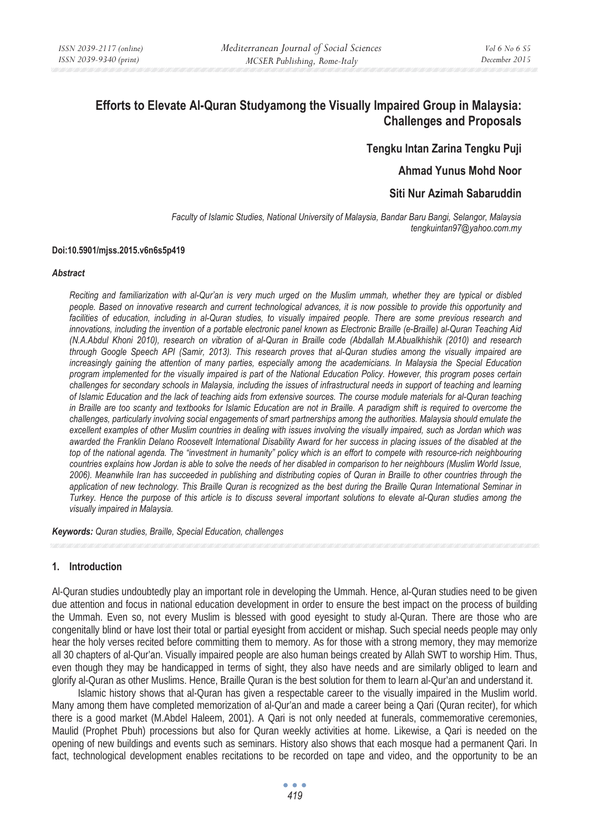# **Efforts to Elevate Al-Quran Studyamong the Visually Impaired Group in Malaysia: Challenges and Proposals**

**Tengku Intan Zarina Tengku Puji** 

**Ahmad Yunus Mohd Noor** 

# **Siti Nur Azimah Sabaruddin**

*Faculty of Islamic Studies, National University of Malaysia, Bandar Baru Bangi, Selangor, Malaysia tengkuintan97@yahoo.com.my* 

#### **Doi:10.5901/mjss.2015.v6n6s5p419**

#### *Abstract*

*Reciting and familiarization with al-Qur'an is very much urged on the Muslim ummah, whether they are typical or disbled people. Based on innovative research and current technological advances, it is now possible to provide this opportunity and*  facilities of education, including in al-Quran studies, to visually impaired people. There are some previous research and *innovations, including the invention of a portable electronic panel known as Electronic Braille (e-Braille) al-Quran Teaching Aid (N.A.Abdul Khoni 2010), research on vibration of al-Quran in Braille code (Abdallah M.Abualkhishik (2010) and research through Google Speech API (Samir, 2013). This research proves that al-Quran studies among the visually impaired are increasingly gaining the attention of many parties, especially among the academicians. In Malaysia the Special Education program implemented for the visually impaired is part of the National Education Policy. However, this program poses certain challenges for secondary schools in Malaysia, including the issues of infrastructural needs in support of teaching and learning of Islamic Education and the lack of teaching aids from extensive sources. The course module materials for al-Quran teaching in Braille are too scanty and textbooks for Islamic Education are not in Braille. A paradigm shift is required to overcome the challenges, particularly involving social engagements of smart partnerships among the authorities. Malaysia should emulate the excellent examples of other Muslim countries in dealing with issues involving the visually impaired, such as Jordan which was*  awarded the Franklin Delano Roosevelt International Disability Award for her success in placing issues of the disabled at the *top of the national agenda. The "investment in humanity" policy which is an effort to compete with resource-rich neighbouring countries explains how Jordan is able to solve the needs of her disabled in comparison to her neighbours (Muslim World Issue, 2006). Meanwhile Iran has succeeded in publishing and distributing copies of Quran in Braille to other countries through the application of new technology. This Braille Quran is recognized as the best during the Braille Quran International Seminar in Turkey. Hence the purpose of this article is to discuss several important solutions to elevate al-Quran studies among the visually impaired in Malaysia.* 

*Keywords: Quran studies, Braille, Special Education, challenges* 

#### **1. Introduction**

Al-Quran studies undoubtedly play an important role in developing the Ummah. Hence, al-Quran studies need to be given due attention and focus in national education development in order to ensure the best impact on the process of building the Ummah. Even so, not every Muslim is blessed with good eyesight to study al-Quran. There are those who are congenitally blind or have lost their total or partial eyesight from accident or mishap. Such special needs people may only hear the holy verses recited before committing them to memory. As for those with a strong memory, they may memorize all 30 chapters of al-Qur'an. Visually impaired people are also human beings created by Allah SWT to worship Him. Thus, even though they may be handicapped in terms of sight, they also have needs and are similarly obliged to learn and glorify al-Quran as other Muslims. Hence, Braille Quran is the best solution for them to learn al-Qur'an and understand it.

Islamic history shows that al-Quran has given a respectable career to the visually impaired in the Muslim world. Many among them have completed memorization of al-Qur'an and made a career being a Qari (Quran reciter), for which there is a good market (M.Abdel Haleem, 2001). A Qari is not only needed at funerals, commemorative ceremonies, Maulid (Prophet Pbuh) processions but also for Quran weekly activities at home. Likewise, a Qari is needed on the opening of new buildings and events such as seminars. History also shows that each mosque had a permanent Qari. In fact, technological development enables recitations to be recorded on tape and video, and the opportunity to be an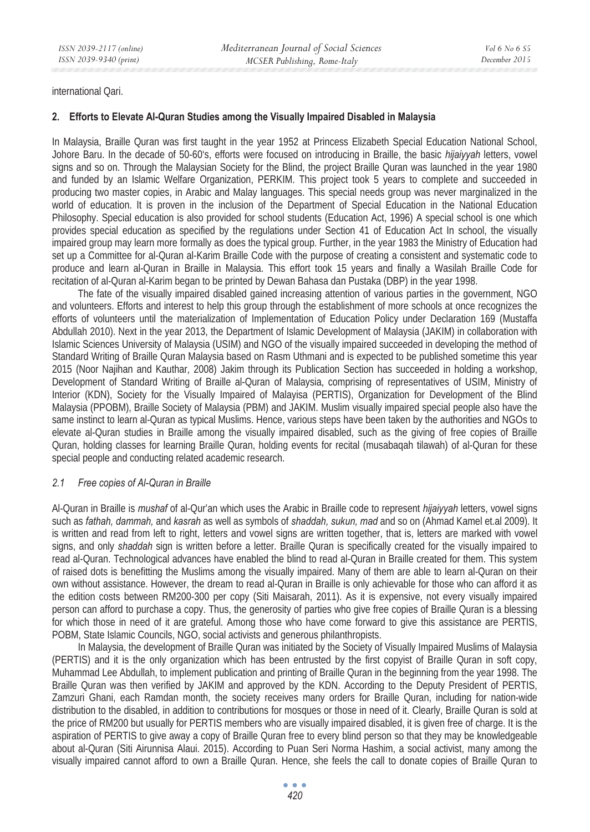international Qari.

## **2. Efforts to Elevate Al-Quran Studies among the Visually Impaired Disabled in Malaysia**

In Malaysia, Braille Quran was first taught in the year 1952 at Princess Elizabeth Special Education National School, Johore Baru. In the decade of 50-60's, efforts were focused on introducing in Braille, the basic *hijaiyyah* letters, vowel signs and so on. Through the Malaysian Society for the Blind, the project Braille Quran was launched in the year 1980 and funded by an Islamic Welfare Organization, PERKIM. This project took 5 years to complete and succeeded in producing two master copies, in Arabic and Malay languages. This special needs group was never marginalized in the world of education. It is proven in the inclusion of the Department of Special Education in the National Education Philosophy. Special education is also provided for school students (Education Act, 1996) A special school is one which provides special education as specified by the regulations under Section 41 of Education Act In school, the visually impaired group may learn more formally as does the typical group. Further, in the year 1983 the Ministry of Education had set up a Committee for al-Quran al-Karim Braille Code with the purpose of creating a consistent and systematic code to produce and learn al-Quran in Braille in Malaysia. This effort took 15 years and finally a Wasilah Braille Code for recitation of al-Quran al-Karim began to be printed by Dewan Bahasa dan Pustaka (DBP) in the year 1998.

The fate of the visually impaired disabled gained increasing attention of various parties in the government, NGO and volunteers. Efforts and interest to help this group through the establishment of more schools at once recognizes the efforts of volunteers until the materialization of Implementation of Education Policy under Declaration 169 (Mustaffa Abdullah 2010). Next in the year 2013, the Department of Islamic Development of Malaysia (JAKIM) in collaboration with Islamic Sciences University of Malaysia (USIM) and NGO of the visually impaired succeeded in developing the method of Standard Writing of Braille Quran Malaysia based on Rasm Uthmani and is expected to be published sometime this year 2015 (Noor Najihan and Kauthar, 2008) Jakim through its Publication Section has succeeded in holding a workshop, Development of Standard Writing of Braille al-Quran of Malaysia, comprising of representatives of USIM, Ministry of Interior (KDN), Society for the Visually Impaired of Malayisa (PERTIS), Organization for Development of the Blind Malaysia (PPOBM), Braille Society of Malaysia (PBM) and JAKIM. Muslim visually impaired special people also have the same instinct to learn al-Quran as typical Muslims. Hence, various steps have been taken by the authorities and NGOs to elevate al-Quran studies in Braille among the visually impaired disabled, such as the giving of free copies of Braille Quran, holding classes for learning Braille Quran, holding events for recital (musabaqah tilawah) of al-Quran for these special people and conducting related academic research.

#### *2.1 Free copies of Al-Quran in Braille*

Al-Quran in Braille is *mushaf* of al-Qur'an which uses the Arabic in Braille code to represent *hijaiyyah* letters, vowel signs such as *fathah, dammah,* and *kasrah* as well as symbols of *shaddah, sukun, mad* and so on (Ahmad Kamel et.al 2009). It is written and read from left to right, letters and vowel signs are written together, that is, letters are marked with vowel signs, and only *shaddah* sign is written before a letter. Braille Quran is specifically created for the visually impaired to read al-Quran. Technological advances have enabled the blind to read al-Quran in Braille created for them. This system of raised dots is benefitting the Muslims among the visually impaired. Many of them are able to learn al-Quran on their own without assistance. However, the dream to read al-Quran in Braille is only achievable for those who can afford it as the edition costs between RM200-300 per copy (Siti Maisarah, 2011). As it is expensive, not every visually impaired person can afford to purchase a copy. Thus, the generosity of parties who give free copies of Braille Quran is a blessing for which those in need of it are grateful. Among those who have come forward to give this assistance are PERTIS, POBM, State Islamic Councils, NGO, social activists and generous philanthropists.

In Malaysia, the development of Braille Quran was initiated by the Society of Visually Impaired Muslims of Malaysia (PERTIS) and it is the only organization which has been entrusted by the first copyist of Braille Quran in soft copy, Muhammad Lee Abdullah, to implement publication and printing of Braille Quran in the beginning from the year 1998. The Braille Quran was then verified by JAKIM and approved by the KDN. According to the Deputy President of PERTIS, Zamzuri Ghani, each Ramdan month, the society receives many orders for Braille Quran, including for nation-wide distribution to the disabled, in addition to contributions for mosques or those in need of it. Clearly, Braille Quran is sold at the price of RM200 but usually for PERTIS members who are visually impaired disabled, it is given free of charge. It is the aspiration of PERTIS to give away a copy of Braille Quran free to every blind person so that they may be knowledgeable about al-Quran (Siti Airunnisa Alaui. 2015). According to Puan Seri Norma Hashim, a social activist, many among the visually impaired cannot afford to own a Braille Quran. Hence, she feels the call to donate copies of Braille Quran to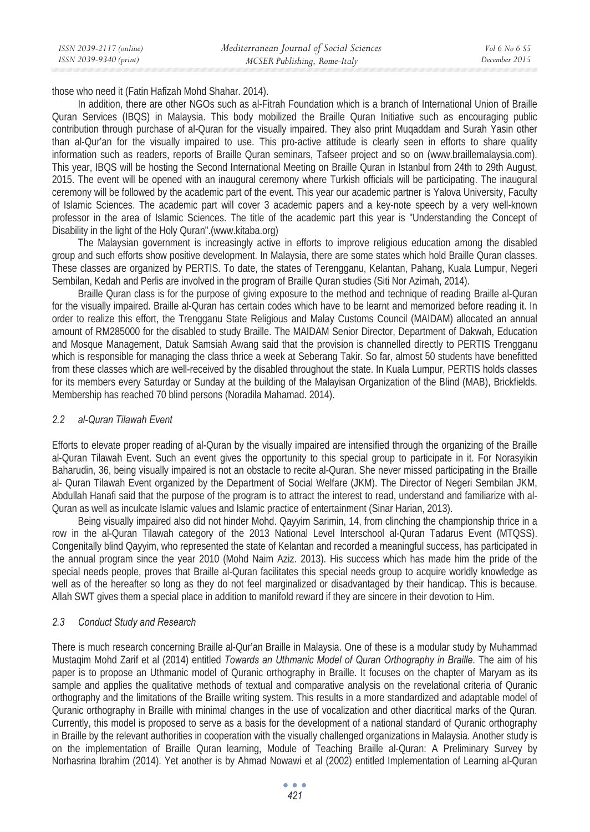those who need it (Fatin Hafizah Mohd Shahar. 2014).

In addition, there are other NGOs such as al-Fitrah Foundation which is a branch of International Union of Braille Quran Services (IBQS) in Malaysia. This body mobilized the Braille Quran Initiative such as encouraging public contribution through purchase of al-Quran for the visually impaired. They also print Muqaddam and Surah Yasin other than al-Qur'an for the visually impaired to use. This pro-active attitude is clearly seen in efforts to share quality information such as readers, reports of Braille Quran seminars, Tafseer project and so on (www.braillemalaysia.com). This year, IBQS will be hosting the Second International Meeting on Braille Quran in Istanbul from 24th to 29th August, 2015. The event will be opened with an inaugural ceremony where Turkish officials will be participating. The inaugural ceremony will be followed by the academic part of the event. This year our academic partner is Yalova University, Faculty of Islamic Sciences. The academic part will cover 3 academic papers and a key-note speech by a very well-known professor in the area of Islamic Sciences. The title of the academic part this year is "Understanding the Concept of Disability in the light of the Holy Quran".(www.kitaba.org)

The Malaysian government is increasingly active in efforts to improve religious education among the disabled group and such efforts show positive development. In Malaysia, there are some states which hold Braille Quran classes. These classes are organized by PERTIS. To date, the states of Terengganu, Kelantan, Pahang, Kuala Lumpur, Negeri Sembilan, Kedah and Perlis are involved in the program of Braille Quran studies (Siti Nor Azimah, 2014).

Braille Quran class is for the purpose of giving exposure to the method and technique of reading Braille al-Quran for the visually impaired. Braille al-Quran has certain codes which have to be learnt and memorized before reading it. In order to realize this effort, the Trengganu State Religious and Malay Customs Council (MAIDAM) allocated an annual amount of RM285000 for the disabled to study Braille. The MAIDAM Senior Director, Department of Dakwah, Education and Mosque Management, Datuk Samsiah Awang said that the provision is channelled directly to PERTIS Trengganu which is responsible for managing the class thrice a week at Seberang Takir. So far, almost 50 students have benefitted from these classes which are well-received by the disabled throughout the state. In Kuala Lumpur, PERTIS holds classes for its members every Saturday or Sunday at the building of the Malayisan Organization of the Blind (MAB), Brickfields. Membership has reached 70 blind persons (Noradila Mahamad. 2014).

## *2.2 al-Quran Tilawah Event*

Efforts to elevate proper reading of al-Quran by the visually impaired are intensified through the organizing of the Braille al-Quran Tilawah Event. Such an event gives the opportunity to this special group to participate in it. For Norasyikin Baharudin, 36, being visually impaired is not an obstacle to recite al-Quran. She never missed participating in the Braille al- Quran Tilawah Event organized by the Department of Social Welfare (JKM). The Director of Negeri Sembilan JKM, Abdullah Hanafi said that the purpose of the program is to attract the interest to read, understand and familiarize with al-Quran as well as inculcate Islamic values and Islamic practice of entertainment (Sinar Harian, 2013).

Being visually impaired also did not hinder Mohd. Qayyim Sarimin, 14, from clinching the championship thrice in a row in the al-Quran Tilawah category of the 2013 National Level Interschool al-Quran Tadarus Event (MTQSS). Congenitally blind Qayyim, who represented the state of Kelantan and recorded a meaningful success, has participated in the annual program since the year 2010 (Mohd Naim Aziz. 2013). His success which has made him the pride of the special needs people, proves that Braille al-Quran facilitates this special needs group to acquire worldly knowledge as well as of the hereafter so long as they do not feel marginalized or disadvantaged by their handicap. This is because. Allah SWT gives them a special place in addition to manifold reward if they are sincere in their devotion to Him.

## *2.3 Conduct Study and Research*

There is much research concerning Braille al-Qur'an Braille in Malaysia. One of these is a modular study by Muhammad Mustaqim Mohd Zarif et al (2014) entitled *Towards an Uthmanic Model of Quran Orthography in Braille*. The aim of his paper is to propose an Uthmanic model of Quranic orthography in Braille. It focuses on the chapter of Maryam as its sample and applies the qualitative methods of textual and comparative analysis on the revelational criteria of Quranic orthography and the limitations of the Braille writing system. This results in a more standardized and adaptable model of Quranic orthography in Braille with minimal changes in the use of vocalization and other diacritical marks of the Quran. Currently, this model is proposed to serve as a basis for the development of a national standard of Quranic orthography in Braille by the relevant authorities in cooperation with the visually challenged organizations in Malaysia. Another study is on the implementation of Braille Quran learning, Module of Teaching Braille al-Quran: A Preliminary Survey by Norhasrina Ibrahim (2014). Yet another is by Ahmad Nowawi et al (2002) entitled Implementation of Learning al-Quran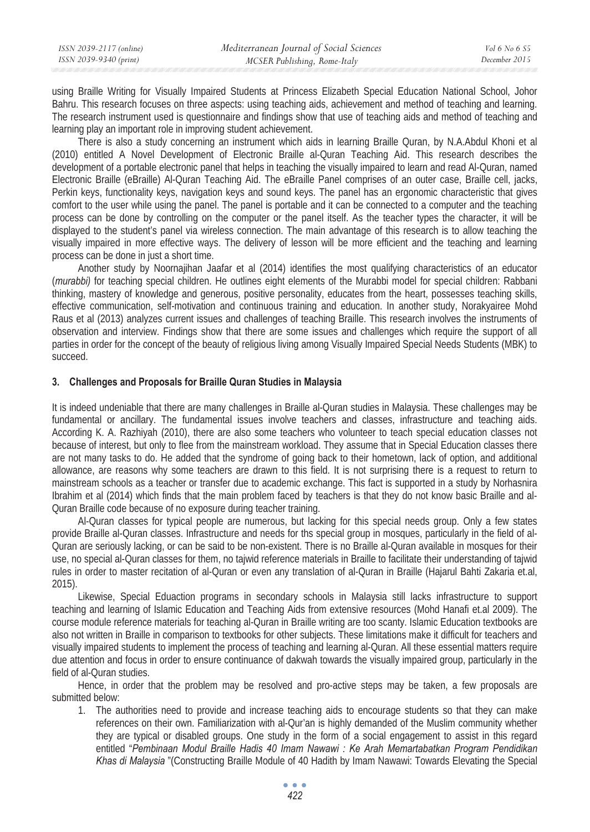| ISSN 2039-2117 (online) | Mediterranean Journal of Social Sciences | Vol 6 No 6 S5 |
|-------------------------|------------------------------------------|---------------|
| ISSN 2039-9340 (print)  | MCSER Publishing, Rome-Italy             | December 2015 |

using Braille Writing for Visually Impaired Students at Princess Elizabeth Special Education National School, Johor Bahru. This research focuses on three aspects: using teaching aids, achievement and method of teaching and learning. The research instrument used is questionnaire and findings show that use of teaching aids and method of teaching and learning play an important role in improving student achievement.

There is also a study concerning an instrument which aids in learning Braille Quran, by N.A.Abdul Khoni et al (2010) entitled A Novel Development of Electronic Braille al-Quran Teaching Aid. This research describes the development of a portable electronic panel that helps in teaching the visually impaired to learn and read Al-Quran, named Electronic Braille (eBraille) Al-Quran Teaching Aid. The eBraille Panel comprises of an outer case, Braille cell, jacks, Perkin keys, functionality keys, navigation keys and sound keys. The panel has an ergonomic characteristic that gives comfort to the user while using the panel. The panel is portable and it can be connected to a computer and the teaching process can be done by controlling on the computer or the panel itself. As the teacher types the character, it will be displayed to the student's panel via wireless connection. The main advantage of this research is to allow teaching the visually impaired in more effective ways. The delivery of lesson will be more efficient and the teaching and learning process can be done in just a short time.

Another study by Noornajihan Jaafar et al (2014) identifies the most qualifying characteristics of an educator (*murabbi)* for teaching special children. He outlines eight elements of the Murabbi model for special children: Rabbani thinking, mastery of knowledge and generous, positive personality, educates from the heart, possesses teaching skills, effective communication, self-motivation and continuous training and education. In another study, Norakyairee Mohd Raus et al (2013) analyzes current issues and challenges of teaching Braille. This research involves the instruments of observation and interview. Findings show that there are some issues and challenges which require the support of all parties in order for the concept of the beauty of religious living among Visually Impaired Special Needs Students (MBK) to succeed.

#### **3. Challenges and Proposals for Braille Quran Studies in Malaysia**

It is indeed undeniable that there are many challenges in Braille al-Quran studies in Malaysia. These challenges may be fundamental or ancillary. The fundamental issues involve teachers and classes, infrastructure and teaching aids. According K. A. Razhiyah (2010), there are also some teachers who volunteer to teach special education classes not because of interest, but only to flee from the mainstream workload. They assume that in Special Education classes there are not many tasks to do. He added that the syndrome of going back to their hometown, lack of option, and additional allowance, are reasons why some teachers are drawn to this field. It is not surprising there is a request to return to mainstream schools as a teacher or transfer due to academic exchange. This fact is supported in a study by Norhasnira Ibrahim et al (2014) which finds that the main problem faced by teachers is that they do not know basic Braille and al-Quran Braille code because of no exposure during teacher training.

Al-Quran classes for typical people are numerous, but lacking for this special needs group. Only a few states provide Braille al-Quran classes. Infrastructure and needs for ths special group in mosques, particularly in the field of al-Quran are seriously lacking, or can be said to be non-existent. There is no Braille al-Quran available in mosques for their use, no special al-Quran classes for them, no tajwid reference materials in Braille to facilitate their understanding of tajwid rules in order to master recitation of al-Quran or even any translation of al-Quran in Braille (Hajarul Bahti Zakaria et.al, 2015).

Likewise, Special Eduaction programs in secondary schools in Malaysia still lacks infrastructure to support teaching and learning of Islamic Education and Teaching Aids from extensive resources (Mohd Hanafi et.al 2009). The course module reference materials for teaching al-Quran in Braille writing are too scanty. Islamic Education textbooks are also not written in Braille in comparison to textbooks for other subjects. These limitations make it difficult for teachers and visually impaired students to implement the process of teaching and learning al-Quran. All these essential matters require due attention and focus in order to ensure continuance of dakwah towards the visually impaired group, particularly in the field of al-Quran studies.

Hence, in order that the problem may be resolved and pro-active steps may be taken, a few proposals are submitted below:

1. The authorities need to provide and increase teaching aids to encourage students so that they can make references on their own. Familiarization with al-Qur'an is highly demanded of the Muslim community whether they are typical or disabled groups. One study in the form of a social engagement to assist in this regard entitled "*Pembinaan Modul Braille Hadis 40 Imam Nawawi : Ke Arah Memartabatkan Program Pendidikan Khas di Malaysia* "(Constructing Braille Module of 40 Hadith by Imam Nawawi: Towards Elevating the Special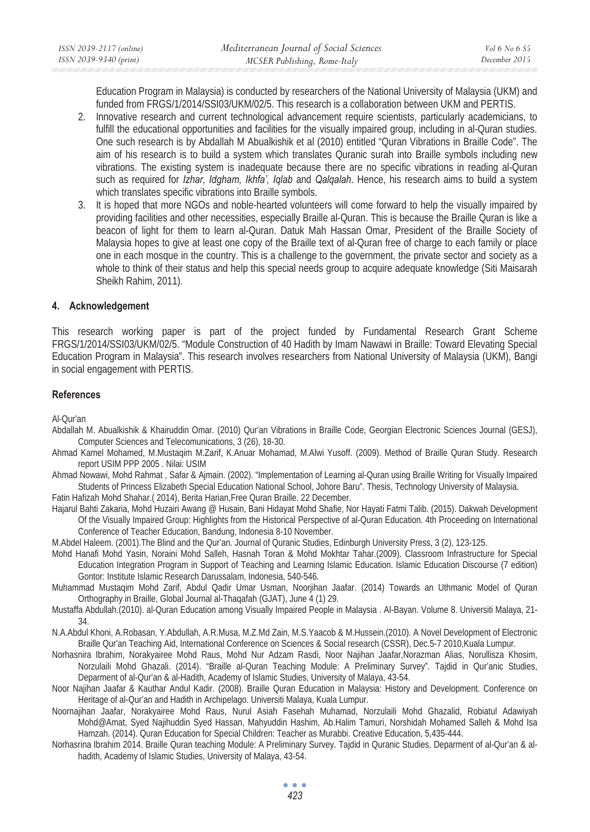Education Program in Malaysia) is conducted by researchers of the National University of Malaysia (UKM) and funded from FRGS/1/2014/SSI03/UKM/02/5. This research is a collaboration between UKM and PERTIS.

- 2. Innovative research and current technological advancement require scientists, particularly academicians, to fulfill the educational opportunities and facilities for the visually impaired group, including in al-Quran studies. One such research is by Abdallah M Abualkishik et al (2010) entitled "Quran Vibrations in Braille Code". The aim of his research is to build a system which translates Quranic surah into Braille symbols including new vibrations. The existing system is inadequate because there are no specific vibrations in reading al-Quran such as required for *Izhar, Idgham, Ikhfa', Iqlab* and *Qalqalah*. Hence, his research aims to build a system which translates specific vibrations into Braille symbols.
- 3. It is hoped that more NGOs and noble-hearted volunteers will come forward to help the visually impaired by providing facilities and other necessities, especially Braille al-Quran. This is because the Braille Quran is like a beacon of light for them to learn al-Quran. Datuk Mah Hassan Omar, President of the Braille Society of Malaysia hopes to give at least one copy of the Braille text of al-Quran free of charge to each family or place one in each mosque in the country. This is a challenge to the government, the private sector and society as a whole to think of their status and help this special needs group to acquire adequate knowledge (Siti Maisarah Sheikh Rahim, 2011).

#### **4. Acknowledgement**

This research working paper is part of the project funded by Fundamental Research Grant Scheme FRGS/1/2014/SSI03/UKM/02/5. "Module Construction of 40 Hadith by Imam Nawawi in Braille: Toward Elevating Special Education Program in Malaysia". This research involves researchers from National University of Malaysia (UKM), Bangi in social engagement with PERTIS.

#### **References**

Al-Qur'an

- Abdallah M. Abualkishik & Khairuddin Omar. (2010) Qur'an Vibrations in Braille Code, Georgian Electronic Sciences Journal (GESJ), Computer Sciences and Telecomunications, 3 (26), 18-30.
- Ahmad Kamel Mohamed, M.Mustaqim M.Zarif, K.Anuar Mohamad, M.Alwi Yusoff. (2009). Method of Braille Quran Study. Research report USIM PPP 2005 . Nilai: USIM
- Ahmad Nowawi, Mohd Rahmat , Safar & Ajmain. (2002). "Implementation of Learning al-Quran using Braille Writing for Visually Impaired Students of Princess Elizabeth Special Education National School, Johore Baru". Thesis, Technology University of Malaysia.

Fatin Hafizah Mohd Shahar.( 2014), Berita Harian,Free Quran Braille. 22 December.

- Hajarul Bahti Zakaria, Mohd Huzairi Awang @ Husain, Bani Hidayat Mohd Shafie, Nor Hayati Fatmi Talib. (2015). Dakwah Development Of the Visually Impaired Group: Highlights from the Historical Perspective of al-Quran Education. 4th Proceeding on International Conference of Teacher Education, Bandung, Indonesia 8-10 November.
- M.Abdel Haleem. (2001).The Blind and the Qur'an. Journal of Quranic Studies, Edinburgh University Press, 3 (2), 123-125.
- Mohd Hanafi Mohd Yasin, Noraini Mohd Salleh, Hasnah Toran & Mohd Mokhtar Tahar.(2009). Classroom Infrastructure for Special Education Integration Program in Support of Teaching and Learning Islamic Education. Islamic Education Discourse (7 edition) Gontor: Institute Islamic Research Darussalam, Indonesia, 540-546.
- Muhammad Mustaqim Mohd Zarif, Abdul Qadir Umar Usman, Noorjihan Jaafar. (2014) Towards an Uthmanic Model of Quran Orthography in Braille, Global Journal al-Thaqafah (GJAT), June 4 (1) 29.
- Mustaffa Abdullah.(2010). al-Quran Education among Visually Impaired People in Malaysia . Al-Bayan. Volume 8. Universiti Malaya, 21- 34.
- N.A.Abdul Khoni, A.Robasan, Y.Abdullah, A.R.Musa, M.Z.Md Zain, M.S.Yaacob & M.Hussein.(2010). A Novel Development of Electronic Braille Qur'an Teaching Aid, International Conference on Sciences & Social research (CSSR), Dec.5-7 2010,Kuala Lumpur.
- Norhasnira Ibrahim, Norakyairee Mohd Raus, Mohd Nur Adzam Rasdi, Noor Najihan Jaafar,Norazman Alias, Norullisza Khosim, Norzulaili Mohd Ghazali. (2014). "Braille al-Quran Teaching Module: A Preliminary Survey". Tajdid in Qur'anic Studies, Deparment of al-Qur'an & al-Hadith, Academy of Islamic Studies, University of Malaya, 43-54.
- Noor Najihan Jaafar & Kauthar Andul Kadir. (2008). Braille Quran Education in Malaysia: History and Development. Conference on Heritage of al-Qur'an and Hadith in Archipelago. Universiti Malaya, Kuala Lumpur.
- Noornajihan Jaafar, Norakyairee Mohd Raus, Nurul Asiah Fasehah Muhamad, Norzulaili Mohd Ghazalid, Robiatul Adawiyah Mohd@Amat, Syed Najihuddin Syed Hassan, Mahyuddin Hashim, Ab.Halim Tamuri, Norshidah Mohamed Salleh & Mohd Isa Hamzah. (2014). Quran Education for Special Children: Teacher as Murabbi. Creative Education, 5,435-444.
- Norhasrina Ibrahim 2014. Braille Quran teaching Module: A Preliminary Survey. Tajdid in Quranic Studies, Deparment of al-Qur'an & alhadith, Academy of Islamic Studies, University of Malaya, 43-54.